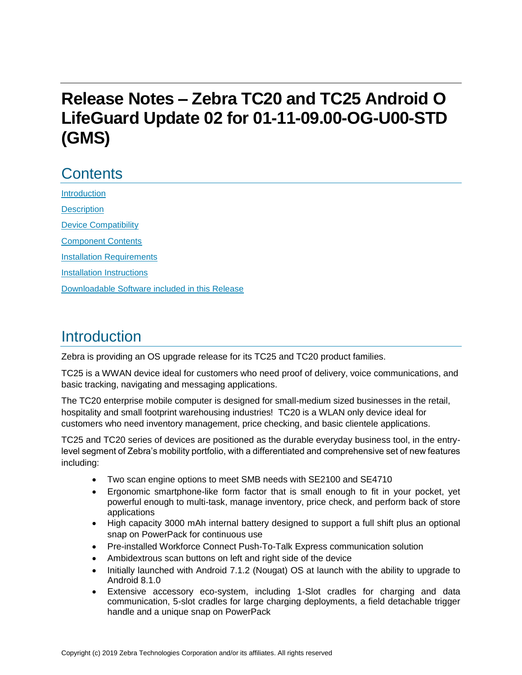# **Release Notes – Zebra TC20 and TC25 Android O LifeGuard Update 02 for 01-11-09.00-OG-U00-STD (GMS)**

## **Contents**

**[Introduction](#page-0-0) [Description](#page-0-0)** [Device Compatibility](#page-1-0) [Component Contents](#page-3-0) [Installation Requirements](#page-4-0) [Installation Instructions](#page-5-0) [Downloadable Software included in this Release](#page-7-0) 

### <span id="page-0-0"></span>Introduction

Zebra is providing an OS upgrade release for its TC25 and TC20 product families.

TC25 is a WWAN device ideal for customers who need proof of delivery, voice communications, and basic tracking, navigating and messaging applications.

The TC20 enterprise mobile computer is designed for small-medium sized businesses in the retail, hospitality and small footprint warehousing industries! TC20 is a WLAN only device ideal for customers who need inventory management, price checking, and basic clientele applications.

TC25 and TC20 series of devices are positioned as the durable everyday business tool, in the entrylevel segment of Zebra's mobility portfolio, with a differentiated and comprehensive set of new features including:

- Two scan engine options to meet SMB needs with SE2100 and SE4710
- Ergonomic smartphone-like form factor that is small enough to fit in your pocket, yet powerful enough to multi-task, manage inventory, price check, and perform back of store applications
- High capacity 3000 mAh internal battery designed to support a full shift plus an optional snap on PowerPack for continuous use
- Pre-installed Workforce Connect Push-To-Talk Express communication solution
- Ambidextrous scan buttons on left and right side of the device
- Initially launched with Android 7.1.2 (Nougat) OS at launch with the ability to upgrade to Android 8.1.0
- Extensive accessory eco-system, including 1-Slot cradles for charging and data communication, 5-slot cradles for large charging deployments, a field detachable trigger handle and a unique snap on PowerPack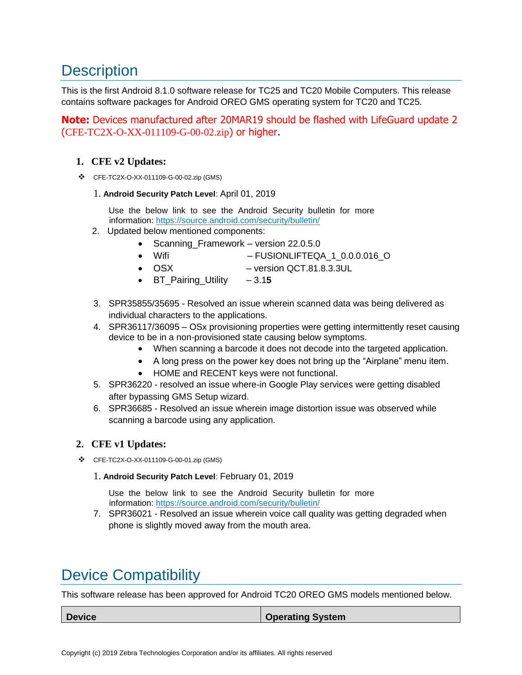## **Description**

This is the first Android 8.1.0 software release for TC25 and TC20 Mobile Computers. This release contains software packages for Android OREO GMS operating system for TC20 and TC25.

**Note:** Devices manufactured after 20MAR19 should be flashed with LifeGuard update 2 (CFE-TC2X-O-XX-011109-G-00-02.zip) or higher.

#### **1. CFE v2 Updates:**

❖ CFE-TC2X-O-XX-011109-G-00-02.zip (GMS)

#### 1. **Android Security Patch Level**: April 01, 2019

Use the below link to see the Android Security bulletin for more information:<https://source.android.com/security/bulletin/>

- 2. Updated below mentioned components:
	- Scanning\_Framework version 22.0.5.0
	- Wifi FUSIONLIFTEQA 1 0.0.0.016 O
	- OSX version QCT.81.8.3.3UL
	- BT\_Pairing\_Utility 3.1**5**
- 3. SPR35855/35695 Resolved an issue wherein scanned data was being delivered as individual characters to the applications.
- 4. SPR36117/36095 OSx provisioning properties were getting intermittently reset causing device to be in a non-provisioned state causing below symptoms.
	- When scanning a barcode it does not decode into [the](https://confluence.zebra.com/pages/createpage.action?spaceKey=LIF&title=customer+apps+or+DWDEMO) targeted application.
	- A long press on the power key does not bring up the "Airplane" menu item.
	- HOME and RECENT keys were not functional.
- 5. SPR36220 resolved an issue where-in Google Play services were getting disabled after bypassing GMS Setup wizard.
- 6. SPR36685 Resolved an issue wherein image distortion issue was observed while scanning a barcode using any application.

#### **2. CFE v1 Updates:**

- ❖ CFE-TC2X-O-XX-011109-G-00-01.zip (GMS)
	- 1. **Android Security Patch Level**: February 01, 2019

Use the below link to see the Android Security bulletin for more information:<https://source.android.com/security/bulletin/>

7. SPR36021 - Resolved an issue wherein voice call quality was getting degraded when phone is slightly moved away from the mouth area.

## <span id="page-1-0"></span>Device Compatibility

This software release has been approved for Android TC20 OREO GMS models mentioned below.

**Device Device Operating System**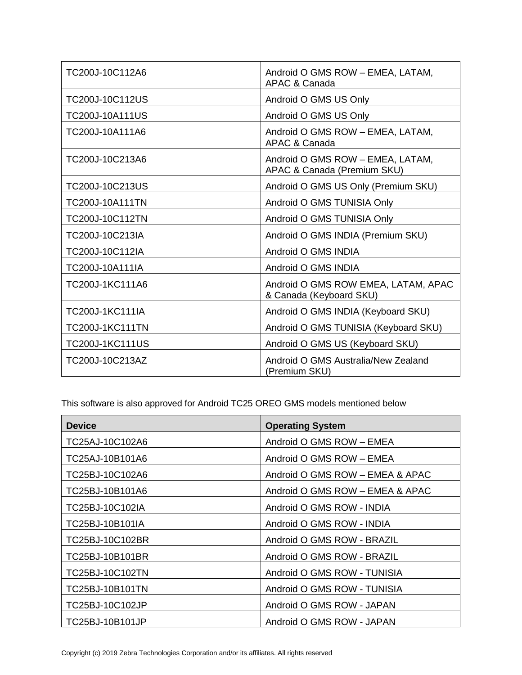| TC200J-10C112A6        | Android O GMS ROW - EMEA, LATAM,<br>APAC & Canada               |
|------------------------|-----------------------------------------------------------------|
| TC200J-10C112US        | Android O GMS US Only                                           |
| <b>TC200J-10A111US</b> | Android O GMS US Only                                           |
| TC200J-10A111A6        | Android O GMS ROW - EMEA, LATAM,<br>APAC & Canada               |
| TC200J-10C213A6        | Android O GMS ROW - EMEA, LATAM,<br>APAC & Canada (Premium SKU) |
| TC200J-10C213US        | Android O GMS US Only (Premium SKU)                             |
| <b>TC200J-10A111TN</b> | Android O GMS TUNISIA Only                                      |
| TC200J-10C112TN        | Android O GMS TUNISIA Only                                      |
| TC200J-10C213IA        | Android O GMS INDIA (Premium SKU)                               |
| TC200J-10C112IA        | Android O GMS INDIA                                             |
| TC200J-10A111IA        | Android O GMS INDIA                                             |
| TC200J-1KC111A6        | Android O GMS ROW EMEA, LATAM, APAC<br>& Canada (Keyboard SKU)  |
| TC200J-1KC111IA        | Android O GMS INDIA (Keyboard SKU)                              |
| <b>TC200J-1KC111TN</b> | Android O GMS TUNISIA (Keyboard SKU)                            |
| <b>TC200J-1KC111US</b> | Android O GMS US (Keyboard SKU)                                 |
| TC200J-10C213AZ        | Android O GMS Australia/New Zealand<br>(Premium SKU)            |

This software is also approved for Android TC25 OREO GMS models mentioned below

| <b>Device</b>   | <b>Operating System</b>         |
|-----------------|---------------------------------|
| TC25AJ-10C102A6 | Android O GMS ROW - EMEA        |
| TC25AJ-10B101A6 | Android O GMS ROW - EMEA        |
| TC25BJ-10C102A6 | Android O GMS ROW - EMEA & APAC |
| TC25BJ-10B101A6 | Android O GMS ROW - EMEA & APAC |
| TC25BJ-10C102IA | Android O GMS ROW - INDIA       |
| TC25BJ-10B101IA | Android O GMS ROW - INDIA       |
| TC25BJ-10C102BR | Android O GMS ROW - BRAZIL      |
| TC25BJ-10B101BR | Android O GMS ROW - BRAZIL      |
| TC25BJ-10C102TN | Android O GMS ROW - TUNISIA     |
| TC25BJ-10B101TN | Android O GMS ROW - TUNISIA     |
| TC25BJ-10C102JP | Android O GMS ROW - JAPAN       |
| TC25BJ-10B101JP | Android O GMS ROW - JAPAN       |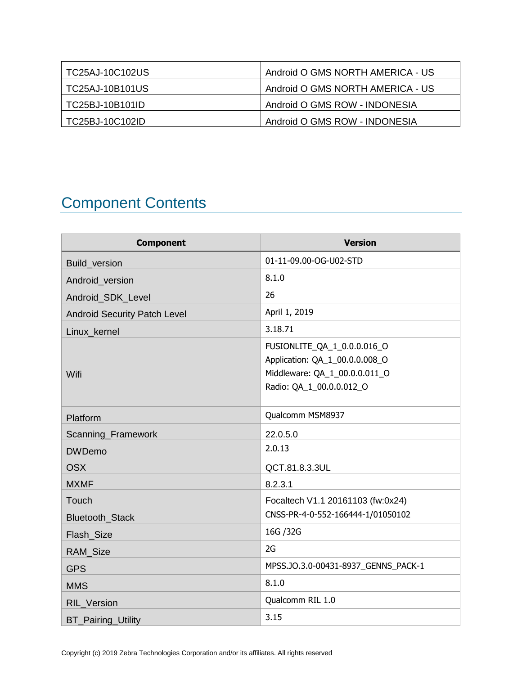| TC25AJ-10C102US   | Android O GMS NORTH AMERICA - US |
|-------------------|----------------------------------|
| TC25AJ-10B101US   | Android O GMS NORTH AMERICA - US |
| TC25BJ-10B101ID   | Android O GMS ROW - INDONESIA    |
| l TC25BJ-10C102ID | Android O GMS ROW - INDONESIA    |

# <span id="page-3-0"></span>Component Contents

| <b>Component</b>                    | <b>Version</b>                                                                                                             |
|-------------------------------------|----------------------------------------------------------------------------------------------------------------------------|
| <b>Build version</b>                | 01-11-09.00-OG-U02-STD                                                                                                     |
| Android_version                     | 8.1.0                                                                                                                      |
| Android_SDK_Level                   | 26                                                                                                                         |
| <b>Android Security Patch Level</b> | April 1, 2019                                                                                                              |
| Linux kernel                        | 3.18.71                                                                                                                    |
| Wifi                                | FUSIONLITE_QA_1_0.0.0.016_O<br>Application: QA_1_00.0.0.008_O<br>Middleware: QA_1_00.0.0.011_O<br>Radio: QA 1 00.0.0.012 O |
| Platform                            | Qualcomm MSM8937                                                                                                           |
| Scanning_Framework                  | 22.0.5.0                                                                                                                   |
| <b>DWDemo</b>                       | 2.0.13                                                                                                                     |
| <b>OSX</b>                          | QCT.81.8.3.3UL                                                                                                             |
| <b>MXMF</b>                         | 8.2.3.1                                                                                                                    |
| Touch                               | Focaltech V1.1 20161103 (fw:0x24)                                                                                          |
| Bluetooth_Stack                     | CNSS-PR-4-0-552-166444-1/01050102                                                                                          |
| Flash_Size                          | 16G / 32G                                                                                                                  |
| RAM_Size                            | 2G                                                                                                                         |
| <b>GPS</b>                          | MPSS.JO.3.0-00431-8937_GENNS_PACK-1                                                                                        |
| <b>MMS</b>                          | 8.1.0                                                                                                                      |
| RIL_Version                         | Qualcomm RIL 1.0                                                                                                           |
| <b>BT_Pairing_Utility</b>           | 3.15                                                                                                                       |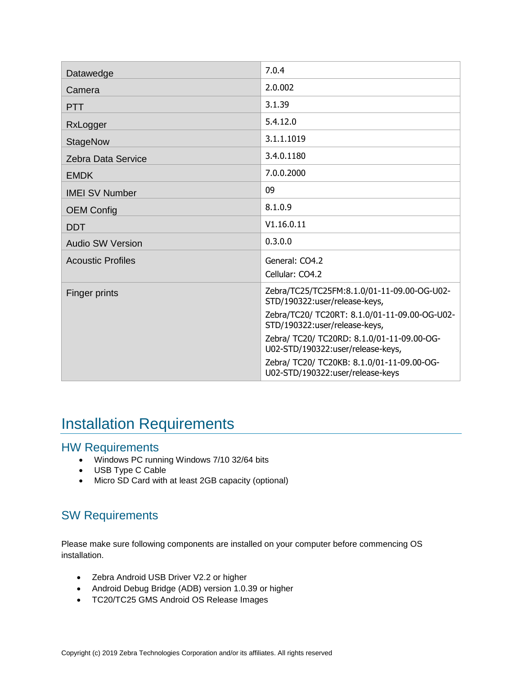| Datawedge                 | 7.0.4                                                                           |
|---------------------------|---------------------------------------------------------------------------------|
| Camera                    | 2.0.002                                                                         |
| <b>PTT</b>                | 3.1.39                                                                          |
| RxLogger                  | 5.4.12.0                                                                        |
| <b>StageNow</b>           | 3.1.1.1019                                                                      |
| <b>Zebra Data Service</b> | 3.4.0.1180                                                                      |
| <b>EMDK</b>               | 7.0.0.2000                                                                      |
| <b>IMEI SV Number</b>     | 09                                                                              |
| <b>OEM Config</b>         | 8.1.0.9                                                                         |
| <b>DDT</b>                | V1.16.0.11                                                                      |
| <b>Audio SW Version</b>   | 0.3.0.0                                                                         |
| <b>Acoustic Profiles</b>  | General: CO4.2                                                                  |
|                           | Cellular: CO4.2                                                                 |
| Finger prints             | Zebra/TC25/TC25FM:8.1.0/01-11-09.00-OG-U02-<br>STD/190322:user/release-keys,    |
|                           | Zebra/TC20/ TC20RT: 8.1.0/01-11-09.00-OG-U02-<br>STD/190322:user/release-keys,  |
|                           | Zebra/ TC20/ TC20RD: 8.1.0/01-11-09.00-OG-<br>U02-STD/190322:user/release-keys, |
|                           | Zebra/ TC20/ TC20KB: 8.1.0/01-11-09.00-OG-<br>U02-STD/190322:user/release-keys  |

### <span id="page-4-0"></span>Installation Requirements

### HW Requirements

- Windows PC running Windows 7/10 32/64 bits
- USB Type C Cable
- Micro SD Card with at least 2GB capacity (optional)

### SW Requirements

Please make sure following components are installed on your computer before commencing OS installation.

- Zebra Android USB Driver V2.2 or higher
- Android Debug Bridge (ADB) version 1.0.39 or higher
- TC20/TC25 GMS Android OS Release Images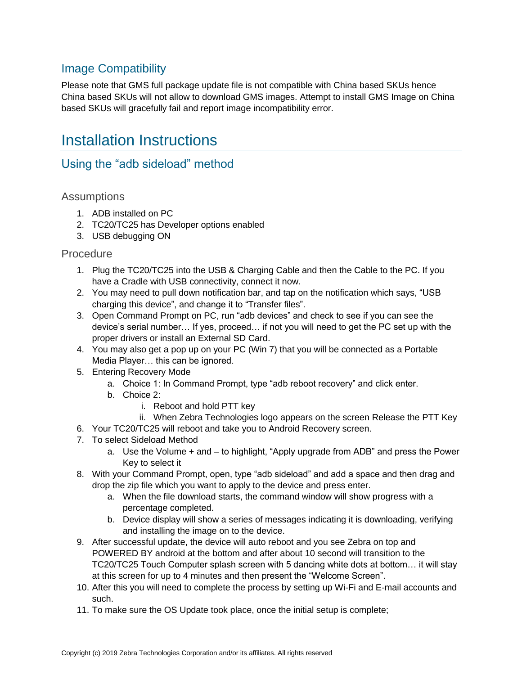### Image Compatibility

Please note that GMS full package update file is not compatible with China based SKUs hence China based SKUs will not allow to download GMS images. Attempt to install GMS Image on China based SKUs will gracefully fail and report image incompatibility error.

## <span id="page-5-0"></span>Installation Instructions

### Using the "adb sideload" method

#### **Assumptions**

- 1. ADB installed on PC
- 2. TC20/TC25 has Developer options enabled
- 3. USB debugging ON

#### **Procedure**

- 1. Plug the TC20/TC25 into the USB & Charging Cable and then the Cable to the PC. If you have a Cradle with USB connectivity, connect it now.
- 2. You may need to pull down notification bar, and tap on the notification which says, "USB charging this device", and change it to "Transfer files".
- 3. Open Command Prompt on PC, run "adb devices" and check to see if you can see the device's serial number… If yes, proceed… if not you will need to get the PC set up with the proper drivers or install an External SD Card.
- 4. You may also get a pop up on your PC (Win 7) that you will be connected as a Portable Media Player… this can be ignored.
- 5. Entering Recovery Mode
	- a. Choice 1: In Command Prompt, type "adb reboot recovery" and click enter.
	- b. Choice 2:
		- i. Reboot and hold PTT key
		- ii. When Zebra Technologies logo appears on the screen Release the PTT Key
- 6. Your TC20/TC25 will reboot and take you to Android Recovery screen.
- 7. To select Sideload Method
	- a. Use the Volume + and to highlight, "Apply upgrade from ADB" and press the Power Key to select it
- 8. With your Command Prompt, open, type "adb sideload" and add a space and then drag and drop the zip file which you want to apply to the device and press enter.
	- a. When the file download starts, the command window will show progress with a percentage completed.
	- b. Device display will show a series of messages indicating it is downloading, verifying and installing the image on to the device.
- 9. After successful update, the device will auto reboot and you see Zebra on top and POWERED BY android at the bottom and after about 10 second will transition to the TC20/TC25 Touch Computer splash screen with 5 dancing white dots at bottom… it will stay at this screen for up to 4 minutes and then present the "Welcome Screen".
- 10. After this you will need to complete the process by setting up Wi-Fi and E-mail accounts and such.
- 11. To make sure the OS Update took place, once the initial setup is complete;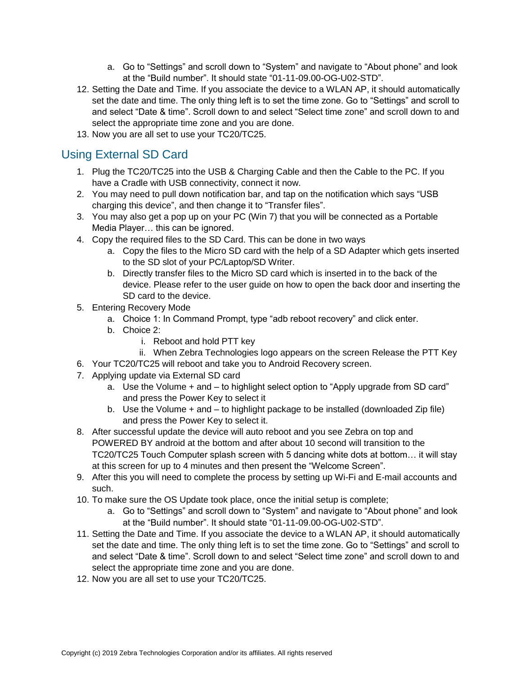- a. Go to "Settings" and scroll down to "System" and navigate to "About phone" and look at the "Build number". It should state "01-11-09.00-OG-U02-STD".
- 12. Setting the Date and Time. If you associate the device to a WLAN AP, it should automatically set the date and time. The only thing left is to set the time zone. Go to "Settings" and scroll to and select "Date & time". Scroll down to and select "Select time zone" and scroll down to and select the appropriate time zone and you are done.
- 13. Now you are all set to use your TC20/TC25.

### Using External SD Card

- 1. Plug the TC20/TC25 into the USB & Charging Cable and then the Cable to the PC. If you have a Cradle with USB connectivity, connect it now.
- 2. You may need to pull down notification bar, and tap on the notification which says "USB charging this device", and then change it to "Transfer files".
- 3. You may also get a pop up on your PC (Win 7) that you will be connected as a Portable Media Player… this can be ignored.
- 4. Copy the required files to the SD Card. This can be done in two ways
	- a. Copy the files to the Micro SD card with the help of a SD Adapter which gets inserted to the SD slot of your PC/Laptop/SD Writer.
	- b. Directly transfer files to the Micro SD card which is inserted in to the back of the device. Please refer to the user guide on how to open the back door and inserting the SD card to the device.
- 5. Entering Recovery Mode
	- a. Choice 1: In Command Prompt, type "adb reboot recovery" and click enter.
	- b. Choice 2:
		- i. Reboot and hold PTT key
		- ii. When Zebra Technologies logo appears on the screen Release the PTT Key
- 6. Your TC20/TC25 will reboot and take you to Android Recovery screen.
- 7. Applying update via External SD card
	- a. Use the Volume + and to highlight select option to "Apply upgrade from SD card" and press the Power Key to select it
	- b. Use the Volume + and to highlight package to be installed (downloaded Zip file) and press the Power Key to select it.
- 8. After successful update the device will auto reboot and you see Zebra on top and POWERED BY android at the bottom and after about 10 second will transition to the TC20/TC25 Touch Computer splash screen with 5 dancing white dots at bottom… it will stay at this screen for up to 4 minutes and then present the "Welcome Screen".
- 9. After this you will need to complete the process by setting up Wi-Fi and E-mail accounts and such.
- 10. To make sure the OS Update took place, once the initial setup is complete;
	- a. Go to "Settings" and scroll down to "System" and navigate to "About phone" and look at the "Build number". It should state "01-11-09.00-OG-U02-STD".
- 11. Setting the Date and Time. If you associate the device to a WLAN AP, it should automatically set the date and time. The only thing left is to set the time zone. Go to "Settings" and scroll to and select "Date & time". Scroll down to and select "Select time zone" and scroll down to and select the appropriate time zone and you are done.
- 12. Now you are all set to use your TC20/TC25.